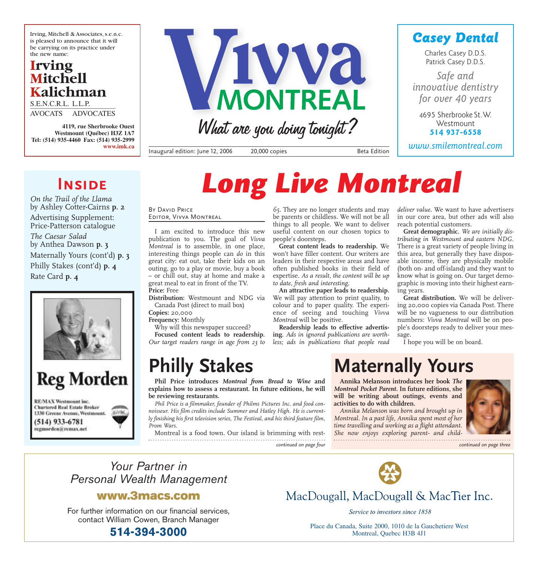Irving, Mitchell & Associates, s.e.n.c. is pleased to announce that it will be carrying on its practice under the new name:

### **Irving Mitchell Kalichman**

S.E.N.C.R.L. L.L.P. AVOCATS ADVOCATES

**4119, rue Sherbrooke Ouest Westmount (Québec) H3Z 1A7 Tel: (514) 935-4460 Fax: (514) 935-2999 www.imk.ca**



What are you doing tonight?

Inaugural edition: June 12, 2006 20,000 copies and all the Beta Edition

### *Casey Dental*

Charles Casey D.D.S. Patrick Casey D.D.S.

*Safe and innovative dentistry for over 40 years*

4695 Sherbrooke St.W. **Westmount 514 937-6558**

*www.smilemontreal.com*

## **INSIDE**

*On the Trail of the Llama* by Ashley Cotter-Cairns **p. 2** Advertising Supplement: Price-Patterson catalogue *The Caesar Salad* by Anthea Dawson **p. 3** Maternally Yours (cont'd) **p. 3** Philly Stakes (cont'd) **p. 4** Rate Card **p. 4**



## **Reg Morden** RE/MAX Westmount inc. **Chartered Real Estate Broker**

1330 Greene Avenue, Westmount.  $(514)$  933-6781 regmorden@remax.net

# *Long Live Montreal*

BY DAVID PRICE Editor, Vivva Montreal

I am excited to introduce this new publication to you. The goal of *Vivva Montreal* is to assemble, in one place, interesting things people can *do* in this great city: eat out, take their kids on an outing, go to a play or movie, buy a book – or chill out, stay at home and make a great meal to eat in front of the TV. **Price:** Free

**Distribution:** Westmount and NDG via Canada Post (direct to mail box) **Copies:** 20,000

**Frequency:** Monthly

Why will this newspaper succeed?

**Focused content leads to readership.** *Our target readers range in age from 23 to*

## **Philly Stakes**

**Phil Price introduces** *Montreal from Bread to Wine* **and explains how to assess a restaurant. In future editions, he will be reviewing restaurants.**

*Phil Price is a filmmaker, founder of Philms Pictures Inc. and food connoisseur. His film credits include Summer and Hatley High. He is currently finishing his first television series, The Festival, and his third feature film, Prom Wars.*

Montreal is a food town. Our island is brimming with rest-

#### *65.* They are no longer students and may be parents or childless. We will not be all things to all people. We want to deliver useful content on our chosen topics to people's doorsteps.

**Great content leads to readership.** We won't have filler content. Our writers are leaders in their respective areas and have often published books in their field of expertise. *As a result, the content will be up to date, fresh and interesting.*

**An attractive paper leads to readership.** We will pay attention to print quality, to colour and to paper quality. The experience of seeing and touching *Vivva Montreal* will be positive.

**Readership leads to effective advertising.** *Ads in ignored publications are worthless; ads in publications that people read* *deliver value.* We want to have advertisers in our core area, but other ads will also reach potential customers.

**Great demographic.** *We are initially distributing in Westmount and eastern NDG.* There is a great variety of people living in this area, but generally they have disposable income, they are physically mobile (both on- and off-island) and they want to know what is going on. Our target demographic is moving into their highest earning years.

**Great distribution.** We will be delivering 20,000 copies via Canada Post. There will be no vagueness to our distribution numbers: *Vivva Montreal* will be on people's doorsteps ready to deliver your message.

I hope you will be on board.

## **Maternally Yours**

**Annika Melanson introduces her book** *The Montreal Pocket Parent.* **In future editions, she will be writing about outings, events and activities to do with children.**

*Annika Melanson was born and brought up in Montreal. In a past life, Annika spent most of her time travelling and working as a flight attendant. She now enjoys exploring parent- and child-*



*continued on page four continued on page three*

*Your Partner in Personal Wealth Management*

### **www.3macs.com**

For further information on our financial services, contact William Cowen, Branch Manager



MacDougall, MacDougall & MacTier Inc.

Service to investors since 1858

**514-394-3000** Place du Canada, Suite 2000, 1010 de la Gauchetiere West Montreal, Quebec H3B 4J1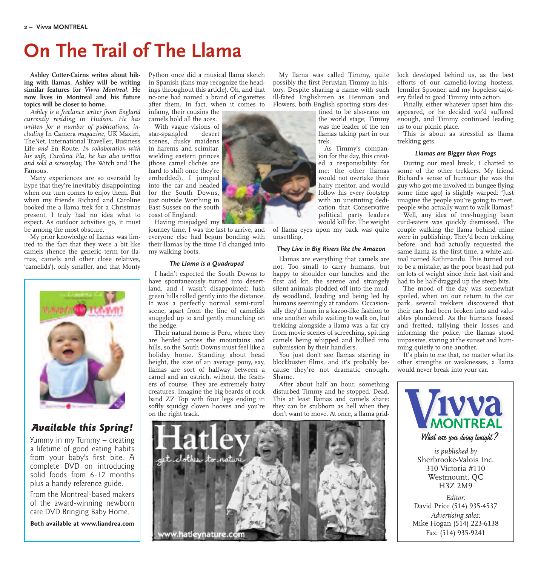## **On The Trail of The Llama**

**Ashley Cotter-Cairns writes about hiking with llamas. Ashley will be writing similar features for** *Vivva Montreal***. He now lives in Montreal and his future topics will be closer to home.**

*Ashley is a freelance writer from England currently residing in Hudson. He has written for a number of publications, including* In Camera *magazine,* UK Maxim*,* TheNet*,* International Traveller*,* Business Life *and* En Route*. In collaboration with his wife, Carolina Pla, he has also written and sold a screenplay,* The Witch and The Famous*.*

Many experiences are so oversold by hype that they're inevitably disappointing when our turn comes to enjoy them. But when my friends Richard and Caroline booked me a llama trek for a Christmas present, I truly had no idea what to expect. As outdoor activities go, it must be among the most obscure.

My prior knowledge of llamas was limited to the fact that they were a bit like camels (hence the generic term for llamas, camels and other close relatives, 'camelids'), only smaller, and that Monty



#### *Available this Spring!*

Yummy in my Tummy – creating a lifetime of good eating habits from your baby's first bite. A complete DVD on introducing solid foods from 6-12 months plus a handy reference guide.

From the Montreal-based makers of the award-winning newborn care DVD Bringing Baby Home.

**Both available at www.liandrea.com**

Python once did a musical llama sketch in Spanish (fans may recognize the headings throughout this article). Oh, and that no-one had named a brand of cigarettes after them. In fact, when it comes to

infamy, their cousins the camels hold all the aces.

With vague visions of star-spangled desert scenes, dusky maidens in harems and scimitarwielding eastern princes (those camel clichés are hard to shift once they're embedded), I jumped into the car and headed for the South Downs, just outside Worthing in East Sussex on the south coast of England. Having misjudged my

journey time, I was the last to arrive, and everyone else had begun bonding with their llamas by the time I'd changed into my walking boots.

#### *The Llama is a Quadruped*

I hadn't expected the South Downs to have spontaneously turned into desertland, and I wasn't disappointed: lush green hills rolled gently into the distance. It was a perfectly normal semi-rural scene, apart from the line of camelids snuggled up to and gently munching on the hedge.

Their natural home is Peru, where they are herded across the mountains and hills, so the South Downs must feel like a holiday home. Standing about head height, the size of an average pony, say, llamas are sort of halfway between a camel and an ostrich, without the feathers of course. They are extremely hairy creatures. Imagine the big beards of rock band ZZ Top with four legs ending in softly squidgy cloven hooves and you're on the right track.

My llama was called Timmy, quite possibly the first Peruvian Timmy in history. Despite sharing a name with such ill-fated Englishmen as Henman and Flowers, both English sporting stars des-

tined to be also-rans on the world stage, Timmy was the leader of the ten llamas taking part in our trek.

As Timmy's companion for the day, this created a responsibility for me: the other llamas would not overtake their hairy mentor, and would follow his every footstep with an unstinting dedication that Conservative political party leaders would kill for. The weight

of llama eyes upon my back was quite unsettling.

#### *They Live in Big Rivers like the Amazon*

Llamas are everything that camels are not. Too small to carry humans, but happy to shoulder our lunches and the first aid kit, the serene and strangely silent animals plodded off into the muddy woodland, leading and being led by humans seemingly at random. Occasionally they'd hum in a kazoo-like fashion to one another while waiting to walk on, but trekking alongside a llama was a far cry from movie scenes of screeching, spitting camels being whipped and bullied into submission by their handlers.

You just don't see llamas starring in blockbuster films, and it's probably because they're not dramatic enough. Shame.

After about half an hour, something disturbed Timmy and he stopped. Dead. This at least llamas and camels share: they can be stubborn as hell when they don't want to move. At once, a llama grid-



lock developed behind us, as the best efforts of our camelid-loving hostess, Jennifer Spooner, and my hopeless cajolery failed to goad Timmy into action.

Finally, either whatever upset him disappeared, or he decided we'd suffered enough, and Timmy continued leading us to our picnic place.

This is about as stressful as llama trekking gets.

#### *Llamas are Bigger than Frogs*

During our meal break, I chatted to some of the other trekkers. My friend Richard's sense of humour (he was the guy who got me involved in bungee flying some time ago) is slightly warped: 'Just imagine the people you're going to meet, people who actually want to walk llamas!'

Well, any idea of tree-hugging bean curd-eaters was quickly dismissed. The couple walking the llama behind mine were in publishing. They'd been trekking before, and had actually requested the same llama as the first time, a white animal named Kathmandu. This turned out to be a mistake, as the poor beast had put on lots of weight since their last visit and had to be half-dragged up the steep bits.

The mood of the day was somewhat spoiled, when on our return to the car park, several trekkers discovered that their cars had been broken into and valuables plundered. As the humans fussed and fretted, tallying their losses and informing the police, the llamas stood impassive, staring at the sunset and humming quietly to one another.

It's plain to me that, no matter what its other strengths or weaknesses, a llama would never break into your car.



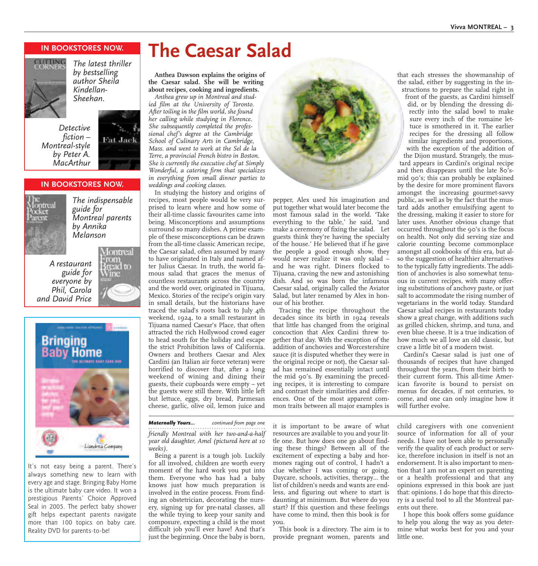#### **IN BOOKSTORES NOW.**



*The latest thriller by bestselling author Sheila Kindellan-Sheehan.*

*Detective fiction – Montreal-style by Peter A. MacArthur*



#### **IN BOOKSTORES NOW.**



*The indispensable guide for Montreal parents by Annika Melanson*

*A restaurant guide for everyone by Phil, Carola and David Price*





It's not easy being a parent. There's always something new to learn with every age and stage. Bringing Baby Home is the ultimate baby care video. It won a prestigious Parents' Choice Approved Seal in 2005. The perfect baby shower gift helps expectant parents navigate more than 100 topics on baby care. Reality DVD for parents-to-be!

## **The Caesar Salad**

**Anthea Dawson explains the origins of the Caesar salad. She will be writing about recipes, cooking and ingredients.** *Anthea grew up in Montreal and stud-*

*ied film at the University of Toronto. After toiling in the film world, she found her calling while studying in Florence. She subsequently completed the professional chef's degree at the Cambridge School of Culinary Arts in Cambridge, Mass. and went to work at the Sel de la Terre, a provincial French bistro in Boston. She is currently the executive chef at Simply Wonderful, a catering firm that specializes in everything from small dinner parties to weddings and cooking classes.*

In studying the history and origins of recipes, most people would be very surprised to learn where and how some of their all-time classic favourites came into being. Misconceptions and assumptions surround so many dishes. A prime example of these misconceptions can be drawn from the all-time classic American recipe, the Caesar salad, often assumed by many to have originated in Italy and named after Julius Caesar. In truth, the world famous salad that graces the menus of countless restaurants across the country and the world over, originated in Tijuana, Mexico. Stories of the recipe's origin vary in small details, but the historians have traced the salad's roots back to July 4th weekend, 1924, to a small restaurant in Tijuana named Caesar's Place, that often attracted the rich Hollywood crowd eager to head south for the holiday and escape the strict Prohibition laws of California. Owners and brothers Caesar and Alex Cardini (an Italian air force veteran) were horrified to discover that, after a long weekend of wining and dining their guests, their cupboards were empty – yet the guests were still there. With little left but lettuce, eggs, dry bread, Parmesan cheese, garlic, olive oil, lemon juice and

*friendly Montreal with her two-and-a-half year old daughter, Amel (pictured here at 10*

*Maternally Yours... continued from page one*

Being a parent is a tough job. Luckily for all involved, children are worth every moment of the hard work you put into them. Everyone who has had a baby knows just how much preparation is involved in the entire process. From finding an obstetrician, decorating the nursery, signing up for pre-natal classes, all the while trying to keep your sanity and composure, expecting a child is the most difficult job you'll ever have! And that's just the beginning. Once the baby is born,

*weeks).*



pepper, Alex used his imagination and put together what would later become the most famous salad in the world. 'Take everything to the table,' he said, 'and make a ceremony of fixing the salad. Let guests think they're having the specialty of the house.' He believed that if he gave the people a good enough show, they would never realize it was only salad – and he was right. Diners flocked to Tijuana, craving the new and astonishing dish. And so was born the infamous Caesar salad, originally called the Aviator Salad, but later renamed by Alex in honour of his brother.

Tracing the recipe throughout the decades since its birth in 1924 reveals that little has changed from the original concoction that Alex Cardini threw together that day. With the exception of the addition of anchovies and Worcestershire sauce (it is disputed whether they were in the original recipe or not), the Caesar salad has remained essentially intact until the mid 90's. By examining the preceding recipes, it is interesting to compare and contrast their similarities and differences. One of the most apparent common traits between all major examples is

it is important to be aware of what resources are available to you and your little one. But how does one go about finding these things? Between all of the excitement of expecting a baby and hormones raging out of control, I hadn't a clue whether I was coming or going. Daycare, schools, activities, therapy… the list of children's needs and wants are endless, and figuring out where to start is daunting at minimum. But where do you start? If this question and these feelings have come to mind, then this book is for you.

This book is a directory. The aim is to provide pregnant women, parents and

that each stresses the showmanship of the salad, either by suggesting in the instructions to prepare the salad right in

front of the guests, as Cardini himself did, or by blending the dressing directly into the salad bowl to make sure every inch of the romaine lettuce is smothered in it. The earlier recipes for the dressing all follow similar ingredients and proportions, with the exception of the addition of

the Dijon mustard. Strangely, the mustard appears in Cardini's original recipe and then disappears until the late 80'smid 90's; this can probably be explained by the desire for more prominent flavors amongst the increasing gourmet-savvy public, as well as by the fact that the mustard adds another emulsifying agent to the dressing, making it easier to store for later uses. Another obvious change that occurred throughout the 90's is the focus on health. Not only did serving size and calorie counting become commonplace amongst all cookbooks of this era, but also the suggestion of healthier alternatives to the typically fatty ingredients. The addition of anchovies is also somewhat tenuous in current recipes, with many offering substitutions of anchovy paste, or just salt to accommodate the rising number of vegetarians in the world today. Standard Caesar salad recipes in restaurants today show a great change, with additions such as grilled chicken, shrimp, and tuna, and even blue cheese. It is a true indication of how much we all love an old classic, but crave a little bit of a modern twist.

Cardini's Caesar salad is just one of thousands of recipes that have changed throughout the years, from their birth to their current form. This all-time American favorite is bound to persist on menus for decades, if not centuries, to come, and one can only imagine how it will further evolve.

child caregivers with one convenient source of information for all of your needs. I have not been able to personally verify the quality of each product or service, therefore inclusion in itself is not an endorsement. It is also important to mention that I am not an expert on parenting or a health professional and that any opinions expressed in this book are just that: opinions. I do hope that this directory is a useful tool to all the Montreal parents out there.

I hope this book offers some guidance to help you along the way as you determine what works best for you and your little one.